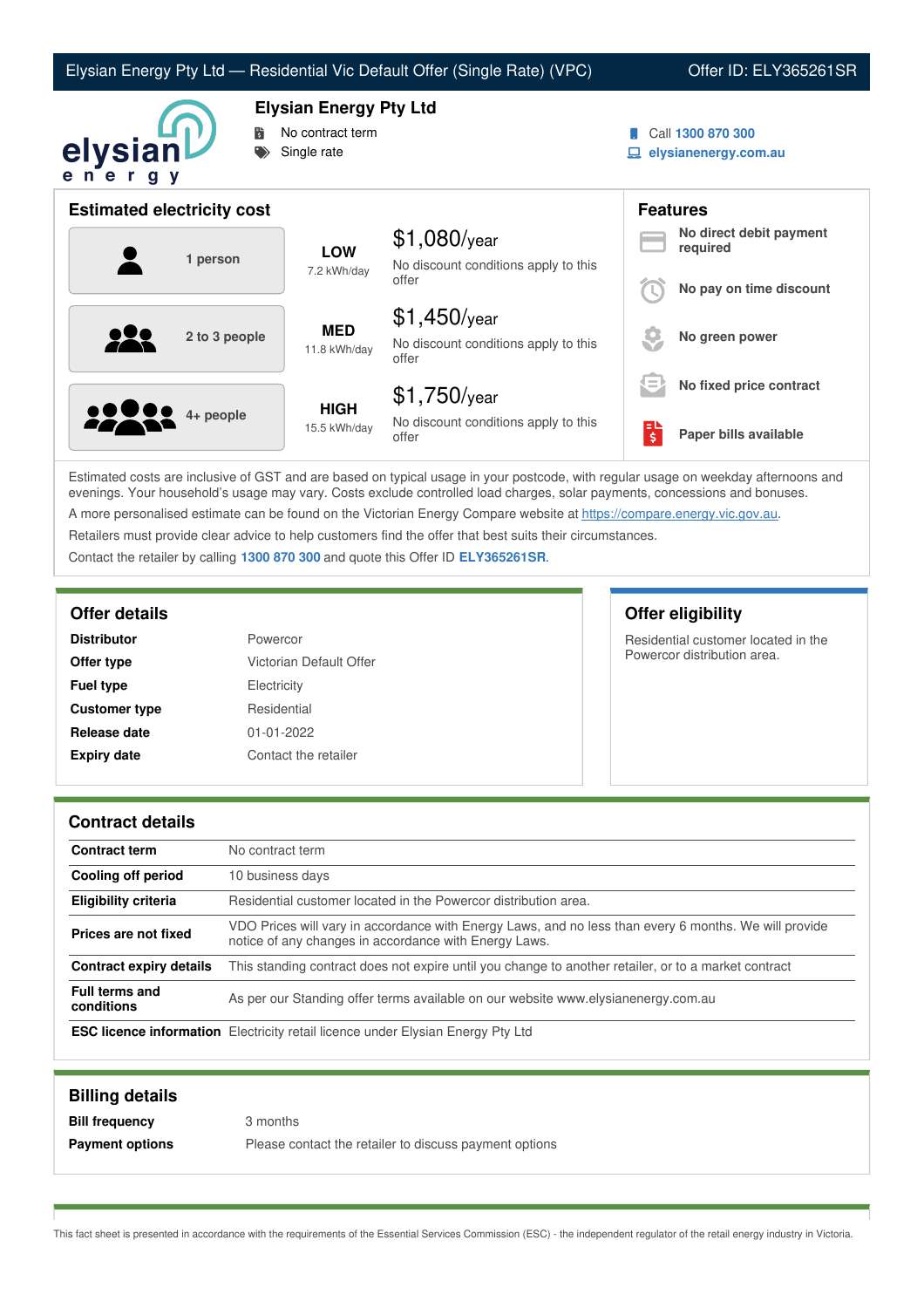|  |  | Elysian Energy Pty Ltd — Residential Vic Default Offer (Single Rate) (VPC) |
|--|--|----------------------------------------------------------------------------|
|--|--|----------------------------------------------------------------------------|

## Offer ID: ELY365261SR



**Elysian Energy Pty Ltd**

- No contract term
- Single rate
- Call **1300 870 300**
- **elysianenergy.com.au**

| <b>Estimated electricity cost</b> |                             |                                                                 |     | <b>Features</b>                     |
|-----------------------------------|-----------------------------|-----------------------------------------------------------------|-----|-------------------------------------|
| 1 person                          | <b>LOW</b><br>7.2 kWh/day   | $$1,080$ /year<br>No discount conditions apply to this          |     | No direct debit payment<br>required |
|                                   |                             | offer                                                           |     | No pay on time discount             |
| 2 to 3 people                     | <b>MED</b><br>11.8 kWh/day  | $$1,450$ /year<br>No discount conditions apply to this<br>offer |     | No green power                      |
|                                   |                             | $$1,750$ /year                                                  | ξΞ, | No fixed price contract             |
| <b>22 8 4 + people</b>            | <b>HIGH</b><br>15.5 kWh/day | No discount conditions apply to this<br>offer                   | \$  | Paper bills available               |

Estimated costs are inclusive of GST and are based on typical usage in your postcode, with regular usage on weekday afternoons and evenings. Your household's usage may vary. Costs exclude controlled load charges, solar payments, concessions and bonuses. A more personalised estimate can be found on the Victorian Energy Compare website at <https://compare.energy.vic.gov.au>.

Retailers must provide clear advice to help customers find the offer that best suits their circumstances.

Contact the retailer by calling **1300 870 300** and quote this Offer ID **ELY365261SR**.

| <b>Distributor</b>   | Powercor                |
|----------------------|-------------------------|
| Offer type           | Victorian Default Offer |
| <b>Fuel type</b>     | Electricity             |
| <b>Customer type</b> | Residential             |
| Release date         | $01 - 01 - 2022$        |
| <b>Expiry date</b>   | Contact the retailer    |

**Offer details Offer eligibility**

Residential customer located in the Powercor distribution area.

## **Contract details**

| <b>Contract term</b>                | No contract term                                                                                                                                               |
|-------------------------------------|----------------------------------------------------------------------------------------------------------------------------------------------------------------|
| Cooling off period                  | 10 business days                                                                                                                                               |
| <b>Eligibility criteria</b>         | Residential customer located in the Powercor distribution area.                                                                                                |
| Prices are not fixed                | VDO Prices will vary in accordance with Energy Laws, and no less than every 6 months. We will provide<br>notice of any changes in accordance with Energy Laws. |
| <b>Contract expiry details</b>      | This standing contract does not expire until you change to another retailer, or to a market contract                                                           |
| <b>Full terms and</b><br>conditions | As per our Standing offer terms available on our website www.elysianenergy.com.au                                                                              |
|                                     | <b>ESC licence information</b> Electricity retail licence under Elysian Energy Pty Ltd                                                                         |

| <b>Billing details</b> |                                                        |
|------------------------|--------------------------------------------------------|
| <b>Bill frequency</b>  | 3 months                                               |
| <b>Payment options</b> | Please contact the retailer to discuss payment options |